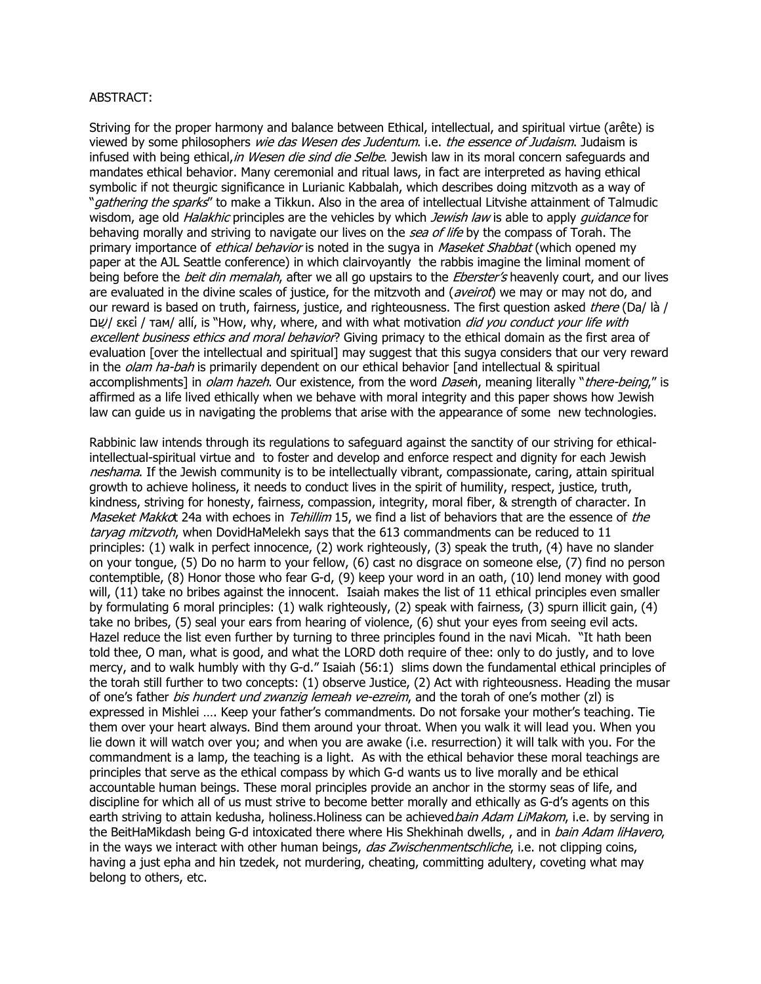## ABSTRACT:

Striving for the proper harmony and balance between Ethical, intellectual, and spiritual virtue (arête) is viewed by some philosophers wie das Wesen des Judentum. i.e. the essence of Judaism. Judaism is infused with being ethical, in Wesen die sind die Selbe. Jewish law in its moral concern safeguards and mandates ethical behavior. Many ceremonial and ritual laws, in fact are interpreted as having ethical symbolic if not theurgic significance in Lurianic Kabbalah, which describes doing mitzvoth as a way of "*gathering the sparks*" to make a Tikkun. Also in the area of intellectual Litvishe attainment of Talmudic wisdom, age old *Halakhic* principles are the vehicles by which *Jewish law* is able to apply *quidance* for behaving morally and striving to navigate our lives on the *sea of life* by the compass of Torah. The primary importance of *ethical behavior* is noted in the sugya in *Maseket Shabbat* (which opened my paper at the AJL Seattle conference) in which clairvoyantly the rabbis imagine the liminal moment of being before the *beit din memalah*, after we all go upstairs to the *Eberster's* heavenly court, and our lives are evaluated in the divine scales of justice, for the mitzvoth and (aveirot) we may or may not do, and our reward is based on truth, fairness, justice, and righteousness. The first question asked there (Da/ là / שָׁם/ εκεί / τam/ allí, is "How, why, where, and with what motivation *did you conduct your life with* excellent business ethics and moral behavior? Giving primacy to the ethical domain as the first area of evaluation [over the intellectual and spiritual] may suggest that this sugya considers that our very reward in the *olam ha-bah* is primarily dependent on our ethical behavior [and intellectual & spiritual accomplishments] in *olam hazeh*. Our existence, from the word *Dasein*, meaning literally "*there-being*," is affirmed as a life lived ethically when we behave with moral integrity and this paper shows how Jewish law can guide us in navigating the problems that arise with the appearance of some new technologies.

Rabbinic law intends through its regulations to safeguard against the sanctity of our striving for ethicalintellectual-spiritual virtue and to foster and develop and enforce respect and dignity for each Jewish neshama. If the Jewish community is to be intellectually vibrant, compassionate, caring, attain spiritual growth to achieve holiness, it needs to conduct lives in the spirit of humility, respect, justice, truth, kindness, striving for honesty, fairness, compassion, integrity, moral fiber, & strength of character. In Maseket Makkot 24a with echoes in Tehillim 15, we find a list of behaviors that are the essence of the taryag mitzvoth, when DovidHaMelekh says that the 613 commandments can be reduced to 11 principles: (1) walk in perfect innocence, (2) work righteously, (3) speak the truth, (4) have no slander on your tongue, (5) Do no harm to your fellow, (6) cast no disgrace on someone else, (7) find no person contemptible, (8) Honor those who fear G-d, (9) keep your word in an oath, (10) lend money with good will, (11) take no bribes against the innocent. Isaiah makes the list of 11 ethical principles even smaller by formulating 6 moral principles: (1) walk righteously, (2) speak with fairness, (3) spurn illicit gain, (4) take no bribes, (5) seal your ears from hearing of violence, (6) shut your eyes from seeing evil acts. Hazel reduce the list even further by turning to three principles found in the navi Micah. "It hath been told thee, O man, what is good, and what the LORD doth require of thee: only to do justly, and to love mercy, and to walk humbly with thy G-d." Isaiah (56:1) slims down the fundamental ethical principles of the torah still further to two concepts: (1) observe Justice, (2) Act with righteousness. Heading the musar of one's father bis hundert und zwanzig lemeah ve-ezreim, and the torah of one's mother (zl) is expressed in Mishlei …. Keep your father's commandments. Do not forsake your mother's teaching. Tie them over your heart always. Bind them around your throat. When you walk it will lead you. When you lie down it will watch over you; and when you are awake (i.e. resurrection) it will talk with you. For the commandment is a lamp, the teaching is a light. As with the ethical behavior these moral teachings are principles that serve as the ethical compass by which G-d wants us to live morally and be ethical accountable human beings. These moral principles provide an anchor in the stormy seas of life, and discipline for which all of us must strive to become better morally and ethically as G-d's agents on this earth striving to attain kedusha, holiness.Holiness can be achieved bain Adam LiMakom, i.e. by serving in the BeitHaMikdash being G-d intoxicated there where His Shekhinah dwells, , and in bain Adam liHavero, in the ways we interact with other human beings, das Zwischenmentschliche, i.e. not clipping coins, having a just epha and hin tzedek, not murdering, cheating, committing adultery, coveting what may belong to others, etc.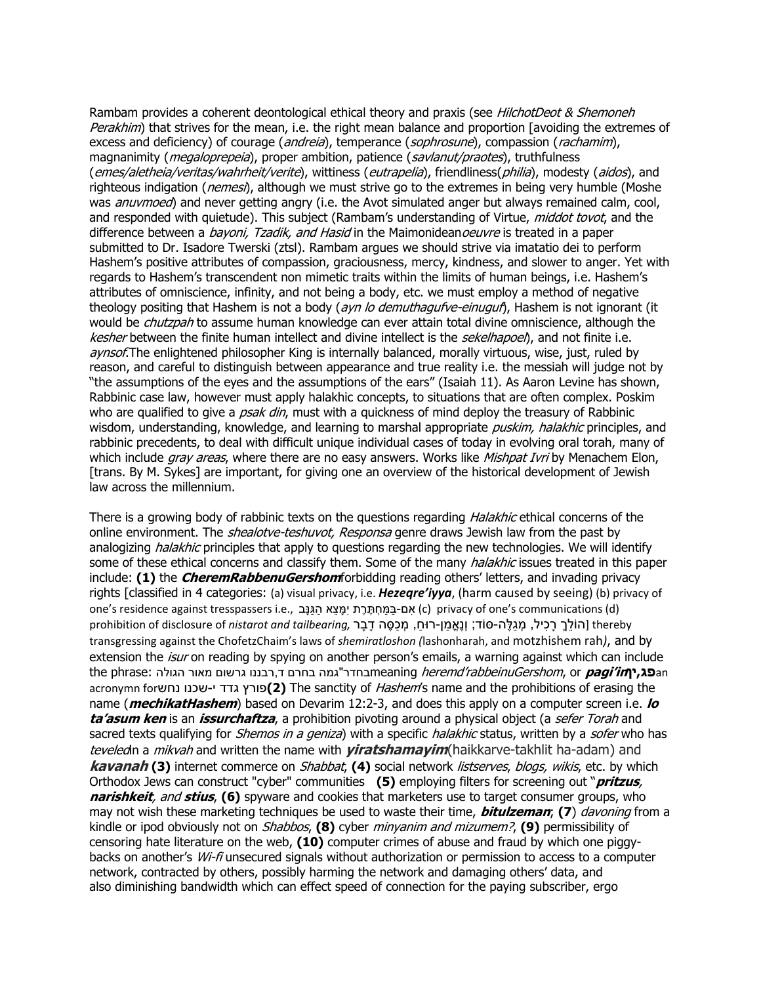Rambam provides a coherent deontological ethical theory and praxis (see *HilchotDeot & Shemoneh* Perakhim) that strives for the mean, i.e. the right mean balance and proportion [avoiding the extremes of excess and deficiency) of courage (*andreia*), temperance (*sophrosune*), compassion (*rachamim*), magnanimity (*megaloprepeia*), proper ambition, patience (savlanut/praotes), truthfulness (emes/aletheia/veritas/wahrheit/verite), wittiness (eutrapelia), friendliness(philia), modesty (aidos), and righteous indigation (*nemesi*), although we must strive go to the extremes in being very humble (Moshe was *anuvmoed*) and never getting angry (i.e. the Avot simulated anger but always remained calm, cool, and responded with quietude). This subject (Rambam's understanding of Virtue, middot tovot, and the difference between a *bayoni, Tzadik, and Hasid* in the Maimonidean*oeuvre* is treated in a paper submitted to Dr. Isadore Twerski (ztsl). Rambam argues we should strive via imatatio dei to perform Hashem's positive attributes of compassion, graciousness, mercy, kindness, and slower to anger. Yet with regards to Hashem's transcendent non mimetic traits within the limits of human beings, i.e. Hashem's attributes of omniscience, infinity, and not being a body, etc. we must employ a method of negative theology positing that Hashem is not a body (ayn lo demuthagufve-einuguf), Hashem is not ignorant (it would be *chutzpah* to assume human knowledge can ever attain total divine omniscience, although the kesher between the finite human intellect and divine intellect is the *sekelhapoel*), and not finite i.e. aynsof. The enlightened philosopher King is internally balanced, morally virtuous, wise, just, ruled by reason, and careful to distinguish between appearance and true reality i.e. the messiah will judge not by "the assumptions of the eyes and the assumptions of the ears" (Isaiah 11). As Aaron Levine has shown, Rabbinic case law, however must apply halakhic concepts, to situations that are often complex. Poskim who are qualified to give a *psak din*, must with a quickness of mind deploy the treasury of Rabbinic wisdom, understanding, knowledge, and learning to marshal appropriate *puskim, halakhic* principles, and rabbinic precedents, to deal with difficult unique individual cases of today in evolving oral torah, many of which include gray areas, where there are no easy answers. Works like Mishpat Ivri by Menachem Elon, [trans. By M. Sykes] are important, for giving one an overview of the historical development of Jewish law across the millennium.

There is a growing body of rabbinic texts on the questions regarding *Halakhic* ethical concerns of the online environment. The *shealotve-teshuvot, Responsa* genre draws Jewish law from the past by analogizing *halakhic* principles that apply to questions regarding the new technologies. We will identify some of these ethical concerns and classify them. Some of the many *halakhic* issues treated in this paper include: **(1)** the **CheremRabbenuGershom**forbidding reading others' letters, and invading privacy rights [classified in 4 categories: (a) visual privacy, i.e. *Hezeqre'iyya*, (harm caused by seeing) (b) privacy of one's residence against tresspassers i.e., אָם-בַּמַּחְתֶּרֶת יִמָּצֵא הַגַּנָּב (c) privacy of one's communications (d) thereby] הֹולֵךְ רָּכִיל, מְגַּלֶּהּ-סֹוד; וְנֶּאֱמַּן-רּוחַּ , מְכַּּסֶּה דָּבָּר *,tailbearing and nistarot* of disclosure of prohibition transgressing against the ChofetzChaim's laws of *shemiratloshon (*lashonharah, and motzhishem rah*)*, and by extension the *isur* on reading by spying on another person's emails, a warning against which can include an**פג,יןin'pagi** or ,rabbeinuGershom'heremd meaningבחדר"גמה בחרם ד,רבננו גרשום מאור הגולה :phrase the acronymn forנחש שכנו-י גדד פורץ**)2 (**The sanctity of Hashem's name and the prohibitions of erasing the name (**mechikatHashem**) based on Devarim 12:2-3, and does this apply on a computer screen i.e. **lo ta'asum ken** is an **issurchaftza**, a prohibition pivoting around a physical object (a sefer Torah and sacred texts qualifying for *Shemos in a geniza*) with a specific *halakhic* status, written by a *sofer* who has teveledin a mikvah and written the name with **yiratshamayim**(haikkarve-takhlit ha-adam) and **kavanah (3)** internet commerce on Shabbat, **(4)** social network listserves, blogs, wikis, etc. by which Orthodox Jews can construct "cyber" communities **(5)** employing filters for screening out "**pritzus**, **narishkeit**, and **stius**, **(6)** spyware and cookies that marketers use to target consumer groups, who may not wish these marketing techniques be used to waste their time, **bitulzeman**; **(7**) davoning from a kindle or ipod obviously not on Shabbos, **(8)** cyber minyanim and mizumem?, **(9)** permissibility of censoring hate literature on the web, **(10)** computer crimes of abuse and fraud by which one piggybacks on another's Wi-fi unsecured signals without authorization or permission to access to a computer network, contracted by others, possibly harming the network and damaging others' data, and also diminishing bandwidth which can effect speed of connection for the paying subscriber, ergo